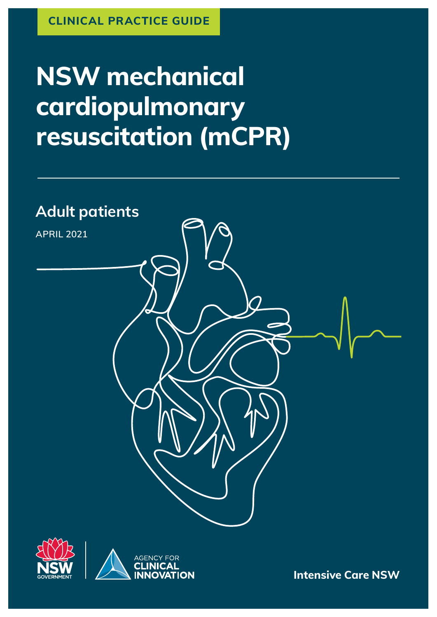# **NSW mechanical cardiopulmonary resuscitation (mCPR)**





**Intensive Care NSW**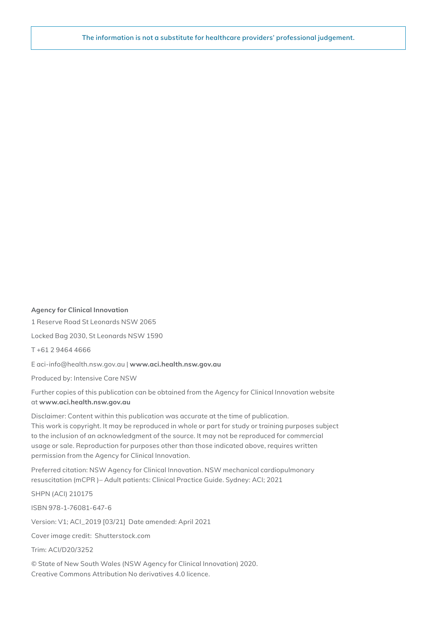**The information is not a substitute for healthcare providers' professional judgement.**

#### **Agency for Clinical Innovation**

1 Reserve Road St Leonards NSW 2065

Locked Bag 2030, St Leonards NSW 1590

T +61 2 9464 4666

E aci‑info@health.nsw.gov.au | **www.[aci.health.nsw.gov.au](https://www.aci.health.nsw.gov.au)**

Produced by: Intensive Care NSW

Further copies of this publication can be obtained from the Agency for Clinical Innovation website at **www.[aci.health.nsw.gov.au](https://www.aci.health.nsw.gov.au)**

Disclaimer: Content within this publication was accurate at the time of publication. This work is copyright. It may be reproduced in whole or part for study or training purposes subject to the inclusion of an acknowledgment of the source. It may not be reproduced for commercial usage or sale. Reproduction for purposes other than those indicated above, requires written permission from the Agency for Clinical Innovation.

Preferred citation: NSW Agency for Clinical Innovation. NSW mechanical cardiopulmonary resuscitation (mCPR )– Adult patients: Clinical Practice Guide. Sydney: ACI; 2021

SHPN (ACI) 210175 ISBN 978-1-76081-647-6 Version: V1; ACI\_2019 [03/21] Date amended: April 2021 Cover image credit: Shutterstock.com Trim: ACI/D20/3252 © State of New South Wales (NSW Agency for Clinical Innovation) 2020.

Creative Commons Attribution No derivatives 4.0 licence.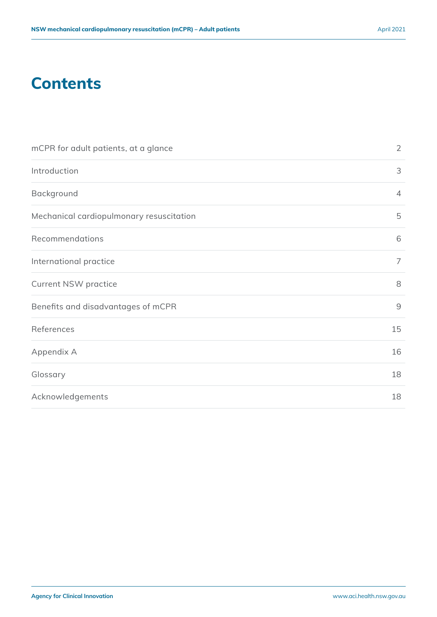### **Contents**

| mCPR for adult patients, at a glance     | $\overline{2}$ |
|------------------------------------------|----------------|
| Introduction                             | 3              |
| Background                               | $\overline{4}$ |
| Mechanical cardiopulmonary resuscitation | 5              |
| Recommendations                          | 6              |
| International practice                   | $\overline{7}$ |
| <b>Current NSW practice</b>              | 8              |
| Benefits and disadvantages of mCPR       | $\overline{9}$ |
| References                               | 15             |
| Appendix A                               | 16             |
| Glossary                                 | 18             |
| Acknowledgements                         | 18             |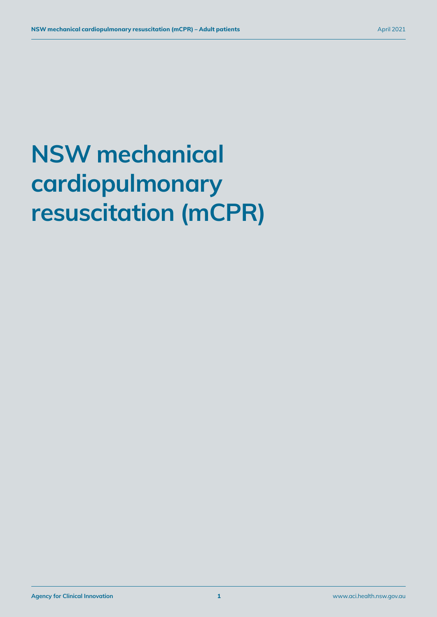# **NSW mechanical cardiopulmonary resuscitation (mCPR)**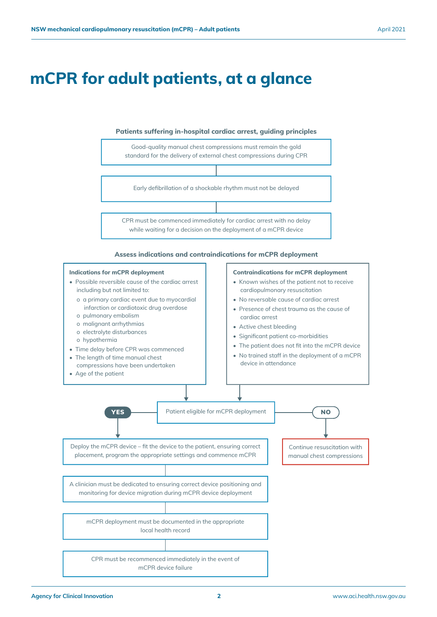### <span id="page-4-0"></span>**mCPR for adult patients, at a glance**

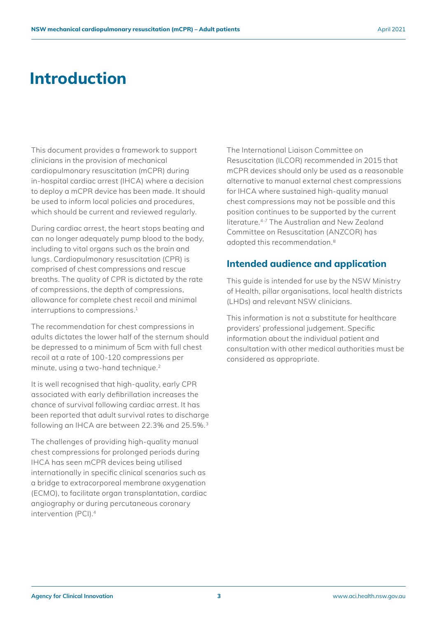### <span id="page-5-0"></span>**Introduction**

This document provides a framework to support clinicians in the provision of mechanical cardiopulmonary resuscitation (mCPR) during in-hospital cardiac arrest (IHCA) where a decision to deploy a mCPR device has been made. It should be used to inform local policies and procedures, which should be current and reviewed regularly.

During cardiac arrest, the heart stops beating and can no longer adequately pump blood to the body, including to vital organs such as the brain and lungs. Cardiopulmonary resuscitation (CPR) is comprised of chest compressions and rescue breaths. The quality of CPR is dictated by the rate of compressions, the depth of compressions, allowance for complete chest recoil and minimal interruptions to compressions.<sup>1</sup>

The recommendation for chest compressions in adults dictates the lower half of the sternum should be depressed to a minimum of 5cm with full chest recoil at a rate of 100-120 compressions per minute, using a two-hand technique.2

It is well recognised that high-quality, early CPR associated with early defibrillation increases the chance of survival following cardiac arrest. It has been reported that adult survival rates to discharge following an IHCA are between 22.3% and 25.5%.3

The challenges of providing high-quality manual chest compressions for prolonged periods during IHCA has seen mCPR devices being utilised internationally in specific clinical scenarios such as a bridge to extracorporeal membrane oxygenation (ECMO), to facilitate organ transplantation, cardiac angiography or during percutaneous coronary intervention (PCI).4

The International Liaison Committee on Resuscitation (ILCOR) recommended in 2015 that mCPR devices should only be used as a reasonable alternative to manual external chest compressions for IHCA where sustained high-quality manual chest compressions may not be possible and this position continues to be supported by the current literature.4-7 The Australian and New Zealand Committee on Resuscitation (ANZCOR) has adopted this recommendation.8

#### **Intended audience and application**

This guide is intended for use by the NSW Ministry of Health, pillar organisations, local health districts (LHDs) and relevant NSW clinicians.

This information is not a substitute for healthcare providers' professional judgement. Specific information about the individual patient and consultation with other medical authorities must be considered as appropriate.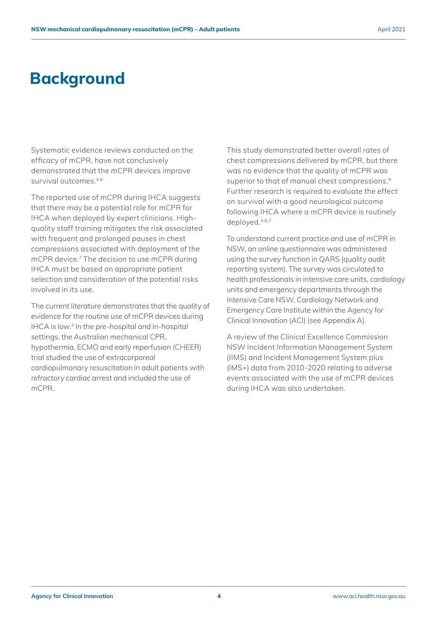### <span id="page-6-0"></span>**Background**

Systematic evidence reviews conducted on the efficacy of mCPR, have not conclusively demonstrated that the mCPR devices improve survival outcomes.4,6

The reported use of mCPR during IHCA suggests that there may be a potential role for mCPR for IHCA when deployed by expert clinicians. Highquality staff training mitigates the risk associated with frequent and prolonged pauses in chest compressions associated with deployment of the mCPR device.7 The decision to use mCPR during IHCA must be based on appropriate patient selection and consideration of the potential risks involved in its use.

The current literature demonstrates that the quality of evidence for the routine use of mCPR devices during IHCA is low.4 In the pre-hospital and in-hospital settings, the Australian mechanical CPR, hypothermia, ECMO and early reperfusion (CHEER) trial studied the use of extracorporeal cardiopulmonary resuscitation in adult patients with refractory cardiac arrest and included the use of mCPR.

This study demonstrated better overall rates of chest compressions delivered by mCPR, but there was no evidence that the quality of mCPR was superior to that of manual chest compressions.<sup>9</sup> Further research is required to evaluate the effect on survival with a good neurological outcome following IHCA where a mCPR device is routinely deployed.4,6,7

To understand current practice and use of mCPR in NSW, an online questionnaire was administered using the survey function in QARS (quality audit reporting system). The survey was circulated to health professionals in intensive care units, cardiology units and emergency departments through the Intensive Care NSW, Cardiology Network and Emergency Care Institute within the Agency for Clinical Innovation (ACI) (see Appendix A).

A review of the Clinical Excellence Commission NSW Incident Information Management System (IIMS) and Incident Management System plus (IMS+) data from 2010-2020 relating to adverse events associated with the use of mCPR devices during IHCA was also undertaken.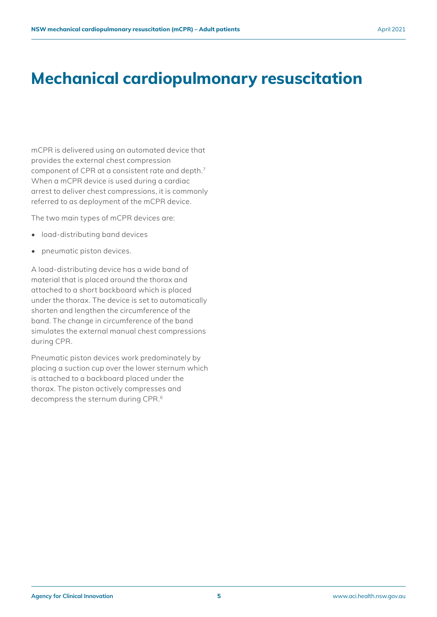## <span id="page-7-0"></span>**Mechanical cardiopulmonary resuscitation**

mCPR is delivered using an automated device that provides the external chest compression component of CPR at a consistent rate and depth.7 When a mCPR device is used during a cardiac arrest to deliver chest compressions, it is commonly referred to as deployment of the mCPR device.

The two main types of mCPR devices are:

- load-distributing band devices
- pneumatic piston devices.

A load-distributing device has a wide band of material that is placed around the thorax and attached to a short backboard which is placed under the thorax. The device is set to automatically shorten and lengthen the circumference of the band. The change in circumference of the band simulates the external manual chest compressions during CPR.

Pneumatic piston devices work predominately by placing a suction cup over the lower sternum which is attached to a backboard placed under the thorax. The piston actively compresses and decompress the sternum during CPR.6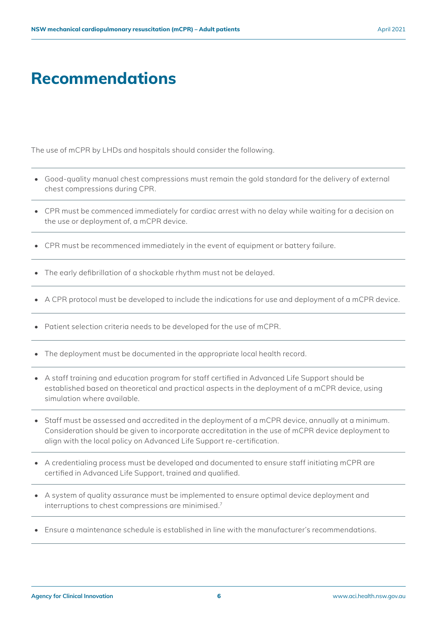### <span id="page-8-0"></span>**Recommendations**

The use of mCPR by LHDs and hospitals should consider the following.

- Good-quality manual chest compressions must remain the gold standard for the delivery of external chest compressions during CPR.
- CPR must be commenced immediately for cardiac arrest with no delay while waiting for a decision on the use or deployment of, a mCPR device.
- CPR must be recommenced immediately in the event of equipment or battery failure.
- The early defibrillation of a shockable rhythm must not be delayed.
- A CPR protocol must be developed to include the indications for use and deployment of a mCPR device.
- Patient selection criteria needs to be developed for the use of mCPR.
- The deployment must be documented in the appropriate local health record.
- A staff training and education program for staff certified in Advanced Life Support should be established based on theoretical and practical aspects in the deployment of a mCPR device, using simulation where available.
- Staff must be assessed and accredited in the deployment of a mCPR device, annually at a minimum. Consideration should be given to incorporate accreditation in the use of mCPR device deployment to align with the local policy on Advanced Life Support re-certification.
- A credentialing process must be developed and documented to ensure staff initiating mCPR are certified in Advanced Life Support, trained and qualified.
- A system of quality assurance must be implemented to ensure optimal device deployment and interruptions to chest compressions are minimised.7
- Ensure a maintenance schedule is established in line with the manufacturer's recommendations.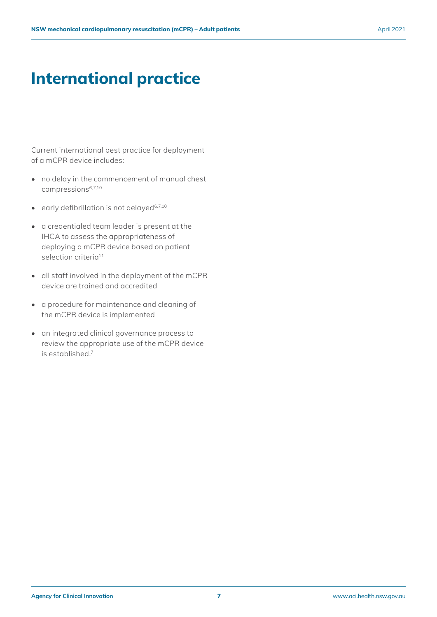## <span id="page-9-0"></span>**International practice**

Current international best practice for deployment of a mCPR device includes:

- no delay in the commencement of manual chest compressions6,7,10
- $\bullet$  early defibrillation is not delayed<sup>6,7,10</sup>
- a credentialed team leader is present at the IHCA to assess the appropriateness of deploying a mCPR device based on patient selection criteria<sup>11</sup>
- all staff involved in the deployment of the mCPR device are trained and accredited
- a procedure for maintenance and cleaning of the mCPR device is implemented
- an integrated clinical governance process to review the appropriate use of the mCPR device is established.7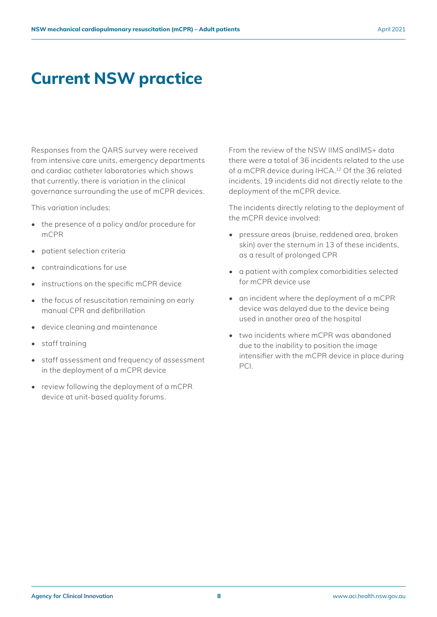### <span id="page-10-0"></span>**Current NSW practice**

Responses from the QARS survey were received from intensive care units, emergency departments and cardiac catheter laboratories which shows that currently, there is variation in the clinical governance surrounding the use of mCPR devices.

This variation includes:

- the presence of a policy and/or procedure for mCPR
- patient selection criteria
- contraindications for use
- instructions on the specific mCPR device
- the focus of resuscitation remaining on early manual CPR and defibrillation
- device cleaning and maintenance
- staff training
- staff assessment and frequency of assessment in the deployment of a mCPR device
- review following the deployment of a mCPR device at unit-based quality forums.

From the review of the NSW IIMS andIMS+ data there were a total of 36 incidents related to the use of a mCPR device during IHCA.12 Of the 36 related incidents, 19 incidents did not directly relate to the deployment of the mCPR device.

The incidents directly relating to the deployment of the mCPR device involved:

- pressure areas (bruise, reddened area, broken skin) over the sternum in 13 of these incidents, as a result of prolonged CPR
- a patient with complex comorbidities selected for mCPR device use
- an incident where the deployment of a mCPR device was delayed due to the device being used in another area of the hospital
- two incidents where mCPR was abandoned due to the inability to position the image intensifier with the mCPR device in place during PCI.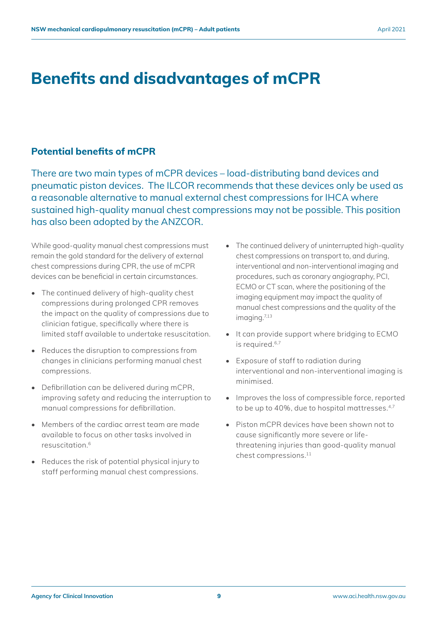### <span id="page-11-0"></span>**Benefits and disadvantages of mCPR**

#### **Potential benefits of mCPR**

There are two main types of mCPR devices – load-distributing band devices and pneumatic piston devices. The ILCOR recommends that these devices only be used as a reasonable alternative to manual external chest compressions for IHCA where sustained high-quality manual chest compressions may not be possible. This position has also been adopted by the ANZCOR.

While good-quality manual chest compressions must remain the gold standard for the delivery of external chest compressions during CPR, the use of mCPR devices can be beneficial in certain circumstances.

- The continued delivery of high-quality chest compressions during prolonged CPR removes the impact on the quality of compressions due to clinician fatigue, specifically where there is limited staff available to undertake resuscitation.
- Reduces the disruption to compressions from changes in clinicians performing manual chest compressions.
- Defibrillation can be delivered during mCPR, improving safety and reducing the interruption to manual compressions for defibrillation.
- Members of the cardiac arrest team are made available to focus on other tasks involved in resuscitation 6
- Reduces the risk of potential physical injury to staff performing manual chest compressions.
- The continued delivery of uninterrupted high-quality chest compressions on transport to, and during, interventional and non-interventional imaging and procedures, such as coronary angiography, PCI, ECMO or CT scan, where the positioning of the imaging equipment may impact the quality of manual chest compressions and the quality of the imaging.7,13
- It can provide support where bridging to ECMO is required.<sup>6,7</sup>
- Exposure of staff to radiation during interventional and non-interventional imaging is minimised.
- Improves the loss of compressible force, reported to be up to 40%, due to hospital mattresses.<sup>4,7</sup>
- Piston mCPR devices have been shown not to cause significantly more severe or lifethreatening injuries than good-quality manual chest compressions.11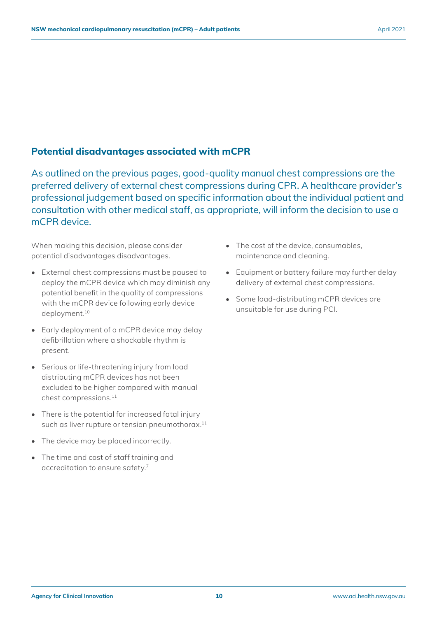#### **Potential disadvantages associated with mCPR**

As outlined on the previous pages, good-quality manual chest compressions are the preferred delivery of external chest compressions during CPR. A healthcare provider's professional judgement based on specific information about the individual patient and consultation with other medical staff, as appropriate, will inform the decision to use a mCPR device.

When making this decision, please consider potential disadvantages disadvantages.

- External chest compressions must be paused to deploy the mCPR device which may diminish any potential benefit in the quality of compressions with the mCPR device following early device deployment.10
- Early deployment of a mCPR device may delay defibrillation where a shockable rhythm is present.
- Serious or life-threatening injury from load distributing mCPR devices has not been excluded to be higher compared with manual chest compressions.11
- There is the potential for increased fatal injury such as liver rupture or tension pneumothorax.<sup>11</sup>
- The device may be placed incorrectly.
- The time and cost of staff training and accreditation to ensure safety.7
- The cost of the device, consumables, maintenance and cleaning.
- Equipment or battery failure may further delay delivery of external chest compressions.
- Some load-distributing mCPR devices are unsuitable for use during PCI.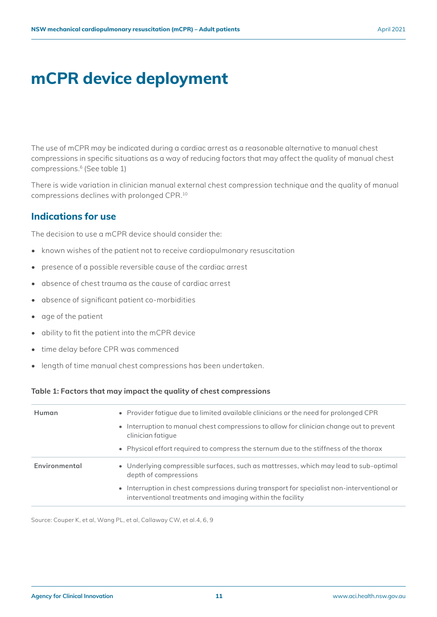## **mCPR device deployment**

The use of mCPR may be indicated during a cardiac arrest as a reasonable alternative to manual chest compressions in specific situations as a way of reducing factors that may affect the quality of manual chest compressions.<sup>6</sup> (See table 1)

There is wide variation in clinician manual external chest compression technique and the quality of manual compressions declines with prolonged CPR.10

### **Indications for use**

The decision to use a mCPR device should consider the:

- known wishes of the patient not to receive cardiopulmonary resuscitation
- presence of a possible reversible cause of the cardiac arrest
- absence of chest trauma as the cause of cardiac arrest
- absence of significant patient co-morbidities
- age of the patient
- ability to fit the patient into the mCPR device
- time delay before CPR was commenced
- length of time manual chest compressions has been undertaken.

#### **Table 1: Factors that may impact the quality of chest compressions**

| Human         | • Provider fatigue due to limited available clinicians or the need for prolonged CPR<br>• Interruption to manual chest compressions to allow for clinician change out to prevent<br>clinician fatique<br>• Physical effort required to compress the sternum due to the stiffness of the thorax |
|---------------|------------------------------------------------------------------------------------------------------------------------------------------------------------------------------------------------------------------------------------------------------------------------------------------------|
| Environmental | • Underlying compressible surfaces, such as mattresses, which may lead to sub-optimal<br>depth of compressions                                                                                                                                                                                 |
|               | • Interruption in chest compressions during transport for specialist non-interventional or<br>interventional treatments and imaging within the facility                                                                                                                                        |

Source: Couper K, et al, Wang PL, et al, Callaway CW, et al.4, 6, 9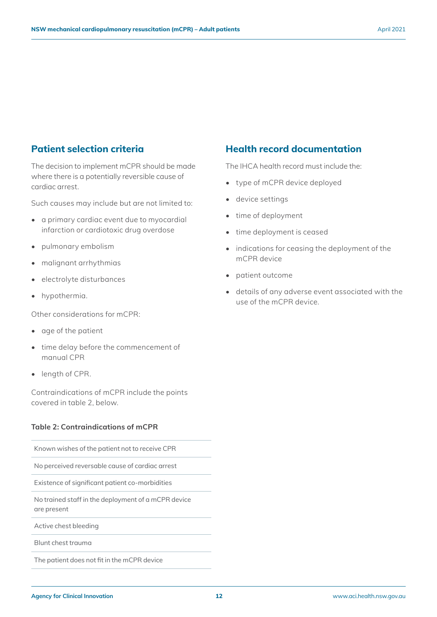### **Patient selection criteria**

The decision to implement mCPR should be made where there is a potentially reversible cause of cardiac arrest.

Such causes may include but are not limited to:

- a primary cardiac event due to myocardial infarction or cardiotoxic drug overdose
- pulmonary embolism
- malignant arrhythmias
- electrolyte disturbances
- hypothermia.

Other considerations for mCPR:

- age of the patient
- time delay before the commencement of manual CPR
- length of CPR.

Contraindications of mCPR include the points covered in table 2, below.

#### **Table 2: Contraindications of mCPR**

Known wishes of the patient not to receive CPR

No perceived reversable cause of cardiac arrest

Existence of significant patient co-morbidities

No trained staff in the deployment of a mCPR device are present

Active chest bleeding

Blunt chest trauma

The patient does not fit in the mCPR device

#### **Health record documentation**

The IHCA health record must include the:

- type of mCPR device deployed
- device settings
- time of deployment
- time deployment is ceased
- indications for ceasing the deployment of the mCPR device
- patient outcome
- details of any adverse event associated with the use of the mCPR device.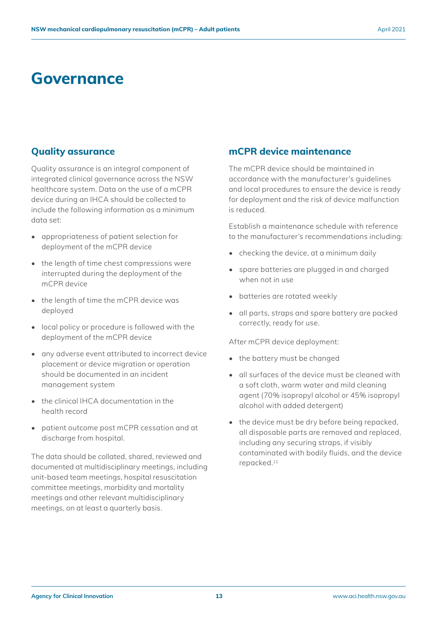### **Governance**

#### **Quality assurance**

Quality assurance is an integral component of integrated clinical governance across the NSW healthcare system. Data on the use of a mCPR device during an IHCA should be collected to include the following information as a minimum data set:

- appropriateness of patient selection for deployment of the mCPR device
- the length of time chest compressions were interrupted during the deployment of the mCPR device
- the length of time the mCPR device was deployed
- local policy or procedure is followed with the deployment of the mCPR device
- any adverse event attributed to incorrect device placement or device migration or operation should be documented in an incident management system
- the clinical IHCA documentation in the health record
- patient outcome post mCPR cessation and at discharge from hospital.

The data should be collated, shared, reviewed and documented at multidisciplinary meetings, including unit-based team meetings, hospital resuscitation committee meetings, morbidity and mortality meetings and other relevant multidisciplinary meetings, on at least a quarterly basis.

#### **mCPR device maintenance**

The mCPR device should be maintained in accordance with the manufacturer's guidelines and local procedures to ensure the device is ready for deployment and the risk of device malfunction is reduced.

Establish a maintenance schedule with reference to the manufacturer's recommendations including:

- checking the device, at a minimum daily
- spare batteries are plugged in and charged when not in use
- batteries are rotated weekly
- all parts, straps and spare battery are packed correctly, ready for use.

After mCPR device deployment:

- the battery must be changed
- all surfaces of the device must be cleaned with a soft cloth, warm water and mild cleaning agent (70% isopropyl alcohol or 45% isopropyl alcohol with added detergent)
- the device must be dry before being repacked, all disposable parts are removed and replaced, including any securing straps, if visibly contaminated with bodily fluids, and the device repacked.11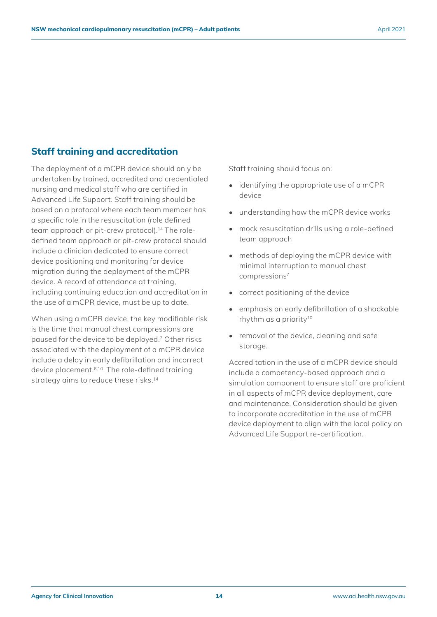### **Staff training and accreditation**

The deployment of a mCPR device should only be undertaken by trained, accredited and credentialed nursing and medical staff who are certified in Advanced Life Support. Staff training should be based on a protocol where each team member has a specific role in the resuscitation (role defined team approach or pit-crew protocol).14 The roledefined team approach or pit-crew protocol should include a clinician dedicated to ensure correct device positioning and monitoring for device migration during the deployment of the mCPR device. A record of attendance at training, including continuing education and accreditation in the use of a mCPR device, must be up to date.

When using a mCPR device, the key modifiable risk is the time that manual chest compressions are paused for the device to be deployed.7 Other risks associated with the deployment of a mCPR device include a delay in early defibrillation and incorrect device placement.6,10 The role-defined training strategy aims to reduce these risks.<sup>14</sup>

Staff training should focus on:

- identifying the appropriate use of a mCPR device
- understanding how the mCPR device works
- mock resuscitation drills using a role-defined team approach
- methods of deploying the mCPR device with minimal interruption to manual chest compressions7
- correct positioning of the device
- emphasis on early defibrillation of a shockable rhythm as a priority<sup>10</sup>
- removal of the device, cleaning and safe storage.

Accreditation in the use of a mCPR device should include a competency-based approach and a simulation component to ensure staff are proficient in all aspects of mCPR device deployment, care and maintenance. Consideration should be given to incorporate accreditation in the use of mCPR device deployment to align with the local policy on Advanced Life Support re-certification.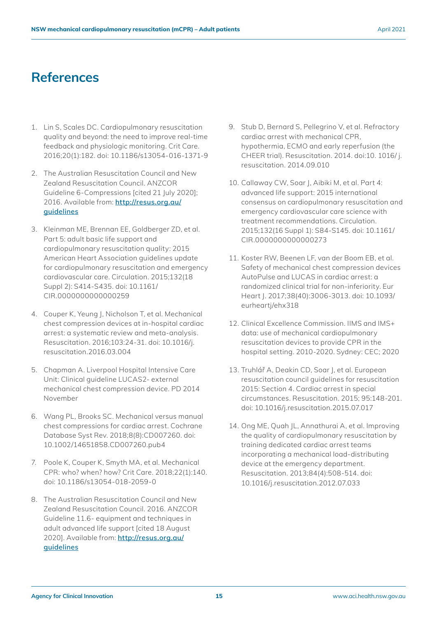### <span id="page-17-0"></span>**References**

- 1. Lin S, Scales DC. Cardiopulmonary resuscitation quality and beyond: the need to improve real-time feedback and physiologic monitoring. Crit Care. 2016;20(1):182. doi: 10.1186/s13054-016-1371-9
- 2. The Australian Resuscitation Council and New Zealand Resuscitation Council. ANZCOR Guideline 6-Compressions [cited 21 July 2020]; 2016. Available from: **[http://resus.org.au/](http://resus.org.au/guidelines) [guidelines](http://resus.org.au/guidelines)**
- 3. Kleinman ME, Brennan EE, Goldberger ZD, et al. Part 5: adult basic life support and cardiopulmonary resuscitation quality: 2015 American Heart Association guidelines update for cardiopulmonary resuscitation and emergency cardiovascular care. Circulation. 2015;132(18 Suppl 2): S414-S435. doi: 10.1161/ CIR.0000000000000259
- 4. Couper K, Yeung J, Nicholson T, et al. Mechanical chest compression devices at in-hospital cardiac arrest: a systematic review and meta-analysis. Resuscitation. 2016;103:24-31. doi: 10.1016/j. resuscitation.2016.03.004
- 5. Chapman A. Liverpool Hospital Intensive Care Unit: Clinical guideline LUCAS2- external mechanical chest compression device. PD 2014 November
- 6. Wang PL, Brooks SC. Mechanical versus manual chest compressions for cardiac arrest. Cochrane Database Syst Rev. 2018;8(8):CD007260. doi: 10.1002/14651858.CD007260.pub4
- 7. Poole K, Couper K, Smyth MA, et al. Mechanical CPR: who? when? how? Crit Care. 2018;22(1):140. doi: 10.1186/s13054-018-2059-0
- 8. The Australian Resuscitation Council and New Zealand Resuscitation Council. 2016. ANZCOR Guideline 11.6- equipment and techniques in adult advanced life support [cited 18 August 2020]. Available from: **[http://resus.org.au/](http://resus.org.au/guidelines) [guidelines](http://resus.org.au/guidelines)**
- 9. Stub D, Bernard S, Pellegrino V, et al. Refractory cardiac arrest with mechanical CPR, hypothermia, ECMO and early reperfusion (the CHEER trial). Resuscitation. 2014. doi:10. 1016/ j. resuscitation. 2014.09.010
- 10. Callaway CW, Soar J, Aibiki M, et al. Part 4: advanced life support: 2015 international consensus on cardiopulmonary resuscitation and emergency cardiovascular care science with treatment recommendations. Circulation. 2015;132(16 Suppl 1): S84-S145. doi: 10.1161/ CIR.0000000000000273
- 11. Koster RW, Beenen LF, van der Boom EB, et al. Safety of mechanical chest compression devices AutoPulse and LUCAS in cardiac arrest: a randomized clinical trial for non-inferiority. Eur Heart J. 2017;38(40):3006-3013. doi: 10.1093/ eurheartj/ehx318
- 12. Clinical Excellence Commission. IIMS and IMS+ data: use of mechanical cardiopulmonary resuscitation devices to provide CPR in the hospital setting. 2010-2020. Sydney: CEC; 2020
- 13. Truhlář A, Deakin CD, Soar J, et al. European resuscitation council guidelines for resuscitation 2015: Section 4. Cardiac arrest in special circumstances. Resuscitation. 2015; 95:148-201. doi: 10.1016/j.resuscitation.2015.07.017
- 14. Ong ME, Quah JL, Annathurai A, et al. Improving the quality of cardiopulmonary resuscitation by training dedicated cardiac arrest teams incorporating a mechanical load-distributing device at the emergency department. Resuscitation. 2013;84(4):508-514. doi: 10.1016/j.resuscitation.2012.07.033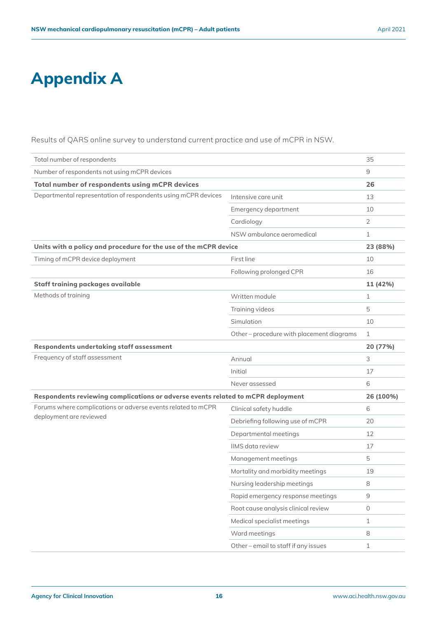## **Appendix A**

Results of QARS online survey to understand current practice and use of mCPR in NSW.

| Total number of respondents                                                      |                                         | 35           |  |
|----------------------------------------------------------------------------------|-----------------------------------------|--------------|--|
| Number of respondents not using mCPR devices                                     |                                         | 9            |  |
| Total number of respondents using mCPR devices                                   |                                         | 26           |  |
| Departmental representation of respondents using mCPR devices                    | Intensive care unit                     | 13           |  |
|                                                                                  | Emergency department                    | 10           |  |
|                                                                                  | Cardiology                              | 2            |  |
|                                                                                  | NSW ambulance aeromedical               | $\mathbf{1}$ |  |
| Units with a policy and procedure for the use of the mCPR device                 |                                         |              |  |
| Timing of mCPR device deployment                                                 | First line                              | 10           |  |
|                                                                                  | Following prolonged CPR                 | 16           |  |
| <b>Staff training packages available</b>                                         |                                         | 11 (42%)     |  |
| Methods of training                                                              | Written module                          | $\mathbf 1$  |  |
|                                                                                  | Training videos                         | 5            |  |
|                                                                                  | Simulation                              | 10           |  |
|                                                                                  | Other-procedure with placement diagrams | $\mathbf{1}$ |  |
| Respondents undertaking staff assessment                                         |                                         | 20 (77%)     |  |
| Frequency of staff assessment                                                    | Annual                                  | 3            |  |
|                                                                                  | Initial                                 | 17           |  |
|                                                                                  | Never assessed                          | 6            |  |
| Respondents reviewing complications or adverse events related to mCPR deployment |                                         |              |  |
| Forums where complications or adverse events related to mCPR                     | Clinical safety huddle                  | 6            |  |
| deployment are reviewed                                                          | Debriefing following use of mCPR        | 20           |  |
|                                                                                  | Departmental meetings                   | 12           |  |
|                                                                                  | IIMS data review                        | 17           |  |
|                                                                                  | Management meetings                     | 5            |  |
|                                                                                  | Mortality and morbidity meetings        | 19           |  |
|                                                                                  | Nursing leadership meetings             | 8            |  |
|                                                                                  | Rapid emergency response meetings       | $\mathsf 9$  |  |
|                                                                                  | Root cause analysis clinical review     | $\circ$      |  |
|                                                                                  | Medical specialist meetings             | $\mathbf{1}$ |  |
|                                                                                  | Ward meetings                           | 8            |  |
|                                                                                  | Other-email to staff if any issues      | $\mathbf 1$  |  |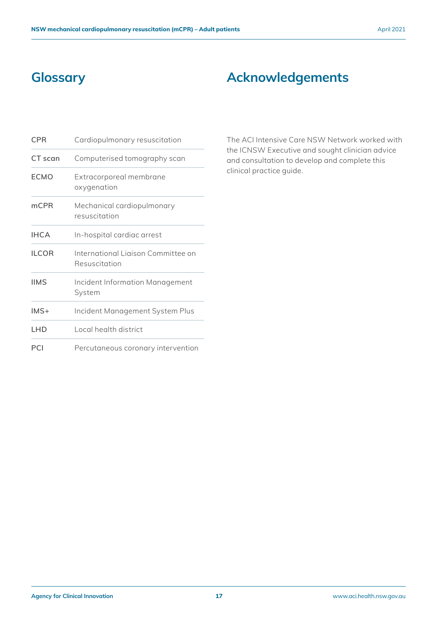### <span id="page-19-0"></span>**Glossary**

### **Acknowledgements**

| <b>CPR</b>   | Cardiopulmonary resuscitation                       |
|--------------|-----------------------------------------------------|
| CT scan      | Computerised tomography scan                        |
| <b>ECMO</b>  | Extracorporeal membrane<br>oxygenation              |
| mCPR         | Mechanical cardiopulmonary<br>resuscitation         |
| <b>IHCA</b>  | In-hospital cardiac arrest                          |
| <b>ILCOR</b> | International Ligison Committee on<br>Resuscitation |
| <b>IIMS</b>  | Incident Information Management<br>System           |
| $IMS+$       | Incident Management System Plus                     |
| LHD          | Local health district                               |
| PCI          | Percutaneous coronary intervention                  |

The ACI Intensive Care NSW Network worked with the ICNSW Executive and sought clinician advice and consultation to develop and complete this clinical practice guide.